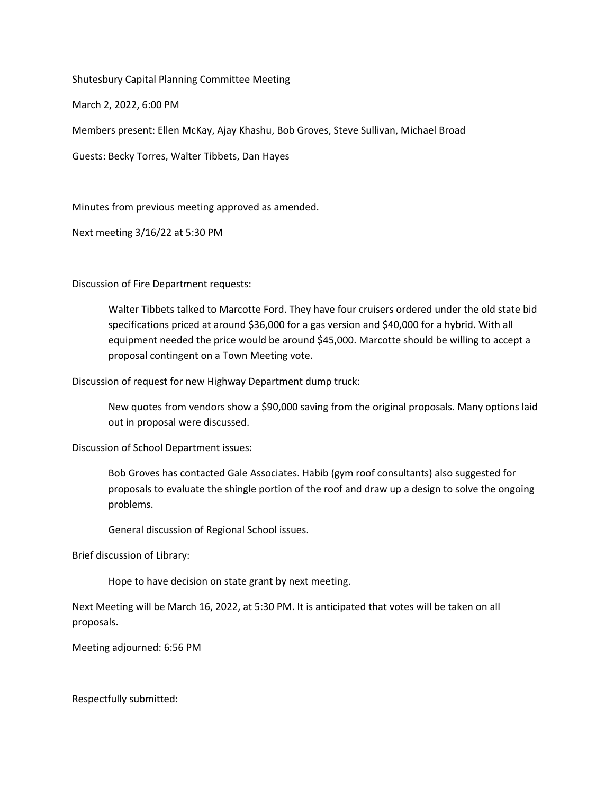Shutesbury Capital Planning Committee Meeting

March 2, 2022, 6:00 PM

Members present: Ellen McKay, Ajay Khashu, Bob Groves, Steve Sullivan, Michael Broad

Guests: Becky Torres, Walter Tibbets, Dan Hayes

Minutes from previous meeting approved as amended.

Next meeting 3/16/22 at 5:30 PM

Discussion of Fire Department requests:

Walter Tibbets talked to Marcotte Ford. They have four cruisers ordered under the old state bid specifications priced at around \$36,000 for a gas version and \$40,000 for a hybrid. With all equipment needed the price would be around \$45,000. Marcotte should be willing to accept a proposal contingent on a Town Meeting vote.

Discussion of request for new Highway Department dump truck:

New quotes from vendors show a \$90,000 saving from the original proposals. Many options laid out in proposal were discussed.

Discussion of School Department issues:

Bob Groves has contacted Gale Associates. Habib (gym roof consultants) also suggested for proposals to evaluate the shingle portion of the roof and draw up a design to solve the ongoing problems.

General discussion of Regional School issues.

Brief discussion of Library:

Hope to have decision on state grant by next meeting.

Next Meeting will be March 16, 2022, at 5:30 PM. It is anticipated that votes will be taken on all proposals.

Meeting adjourned: 6:56 PM

Respectfully submitted: